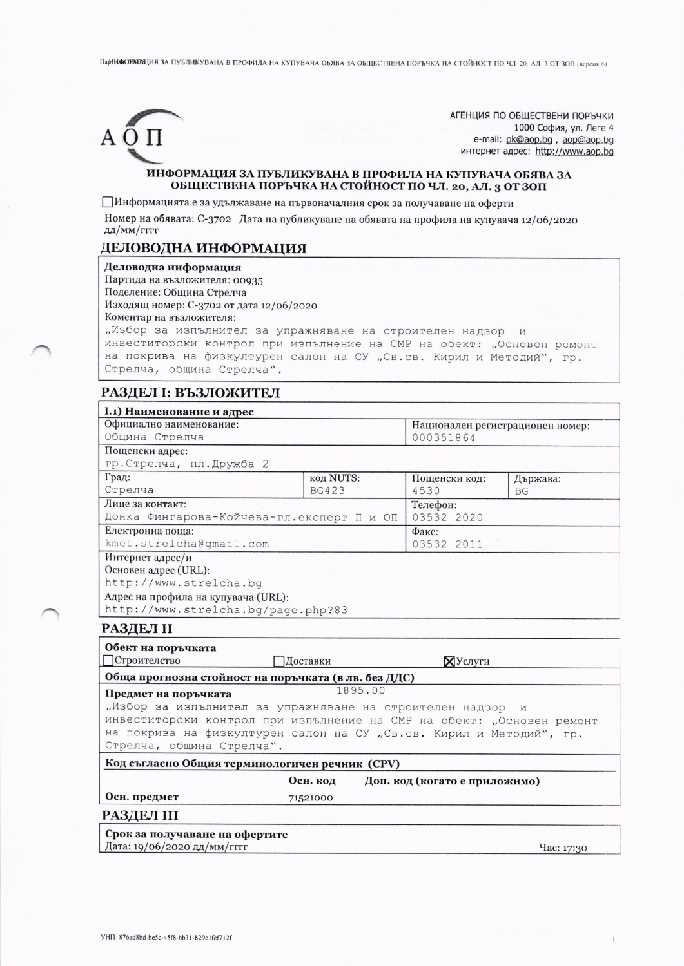ПарНЮДОРЖИЗАЦИЯ ЗА ПУБЛИКУВАНА В ПРОФИЛА НА КУПУВАЧА ОБЯВА ЗА ОБЩЕСТВЕНА ПОРЪЧКА НА СТОЙНОСТ ПО ЧЛ. 20, АЛ. 3 ОТ ЗОП (версия 6)



АГЕНЦИЯ ПО ОБЩЕСТВЕНИ ПОРЪЧКИ 1000 София, ул. Леге 4 e-mail: pk@aop.bg, aop@aop.bg интернет адрес: http://www.aop.bq

### ИНФОРМАЦИЯ ЗА ПУБЛИКУВАНА В ПРОФИЛА НА КУПУВАЧА ОБЯВА ЗА ОБЩЕСТВЕНА ПОРЪЧКА НА СТОЙНОСТ ПО ЧЛ. 20, АЛ. 3 ОТ ЗОП

Пинформацията е за удължаване на първоначалния срок за получаване на оферти

Номер на обявата: С-3702 Дата на публикуване на обявата на профила на купувача 12/06/2020 дд/мм/гггг

# ДЕЛОВОДНА ИНФОРМАЦИЯ

Деловодна информация

Партида на възложителя: 00935

Поделение: Община Стрелча

Изходящ номер: С-3702 от дата 12/06/2020

Коментар на възложителя:

"Избор за изпълнител за упражняване на строителен надзор и инвеститорски контрол при изпълнение на СМР на обект: "Основен ремонт на покрива на физкултурен салон на СУ "Св. св. Кирил и Методий", гр. Стрелча, община Стрелча".

### РАЗДЕЛ І: ВЪЗЛОЖИТЕЛ

| I.1) Наименование и адрес                                             |              |                               |                                               |  |
|-----------------------------------------------------------------------|--------------|-------------------------------|-----------------------------------------------|--|
| Официално наименование:<br>Община Стрелча                             |              |                               | Национален регистрационен номер:<br>000351864 |  |
| Пощенски адрес:                                                       |              |                               |                                               |  |
| гр. Стрелча, пл. Дружба 2                                             |              |                               |                                               |  |
| Град:                                                                 | код NUTS:    | Пощенски код:                 | Държава:                                      |  |
| Стрелча                                                               | <b>BG423</b> | 4530                          | <b>BG</b>                                     |  |
| Лице за контакт:                                                      |              | Телефон:                      |                                               |  |
| Донка Фингарова-Койчева-гл.експерт П и ОП                             |              |                               | 03532 2020                                    |  |
| Електронна поща:                                                      |              | Факс:                         |                                               |  |
| kmet.strelcha@gmail.com                                               |              |                               | 03532 2011                                    |  |
| Интернет адрес/и                                                      |              |                               |                                               |  |
| Основен адрес (URL):                                                  |              |                               |                                               |  |
| http://www.strelcha.bq                                                |              |                               |                                               |  |
| Адрес на профила на купувача (URL):                                   |              |                               |                                               |  |
| http://www.strelcha.bg/page.php?83                                    |              |                               |                                               |  |
| РАЗДЕЛ II                                                             |              |                               |                                               |  |
| Обект на поръчката                                                    |              |                               |                                               |  |
| Строителство                                                          | Доставки     |                               | ХУслуги                                       |  |
| Обща прогнозна стойност на поръчката (в лв. без ДДС)                  |              |                               |                                               |  |
| Предмет на поръчката                                                  |              | 1895.00                       |                                               |  |
| "Избор за изпълнител за упражняване на строителен надзор и            |              |                               |                                               |  |
| инвеститорски контрол при изпълнение на СМР на обект: "Основен ремонт |              |                               |                                               |  |
| на покрива на физкултурен салон на СУ "Св.св. Кирил и Методий", гр.   |              |                               |                                               |  |
| Стрелча, община Стрелча".                                             |              |                               |                                               |  |
| Код съгласно Общия терминологичен речник (CPV)                        |              |                               |                                               |  |
|                                                                       | Осн. код     | Доп. код (когато е приложимо) |                                               |  |
| Осн. предмет                                                          | 71521000     |                               |                                               |  |
| РАЗДЕЛ III                                                            |              |                               |                                               |  |
|                                                                       |              |                               |                                               |  |
| Срок за получаване на офертите                                        |              |                               |                                               |  |